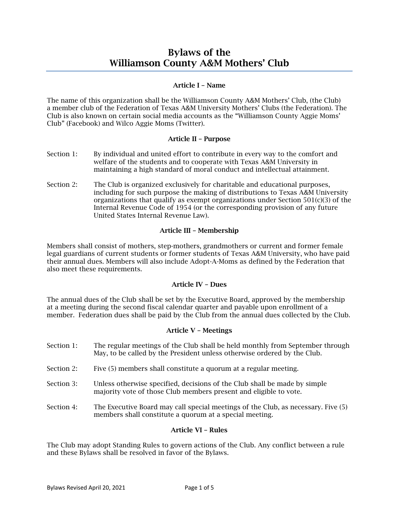# Bylaws of the Williamson County A&M Mothers' Club

## Article I – Name

The name of this organization shall be the Williamson County A&M Mothers' Club, (the Club) a member club of the Federation of Texas A&M University Mothers' Clubs (the Federation). The Club is also known on certain social media accounts as the "Williamson County Aggie Moms' Club" (Facebook) and Wilco Aggie Moms (Twitter).

## Article II – Purpose

- Section 1: By individual and united effort to contribute in every way to the comfort and welfare of the students and to cooperate with Texas A&M University in maintaining a high standard of moral conduct and intellectual attainment.
- Section 2: The Club is organized exclusively for charitable and educational purposes, including for such purpose the making of distributions to Texas A&M University organizations that qualify as exempt organizations under Section  $501(c)(3)$  of the Internal Revenue Code of 1954 (or the corresponding provision of any future United States Internal Revenue Law).

# Article III – Membership

Members shall consist of mothers, step-mothers, grandmothers or current and former female legal guardians of current students or former students of Texas A&M University, who have paid their annual dues. Members will also include Adopt-A-Moms as defined by the Federation that also meet these requirements.

# Article IV – Dues

The annual dues of the Club shall be set by the Executive Board, approved by the membership at a meeting during the second fiscal calendar quarter and payable upon enrollment of a member. Federation dues shall be paid by the Club from the annual dues collected by the Club.

## Article V – Meetings

- Section 1: The regular meetings of the Club shall be held monthly from September through May, to be called by the President unless otherwise ordered by the Club.
- Section 2: Five (5) members shall constitute a quorum at a regular meeting.
- Section 3: Unless otherwise specified, decisions of the Club shall be made by simple majority vote of those Club members present and eligible to vote.
- Section 4: The Executive Board may call special meetings of the Club, as necessary. Five (5) members shall constitute a quorum at a special meeting.

## Article VI – Rules

The Club may adopt Standing Rules to govern actions of the Club. Any conflict between a rule and these Bylaws shall be resolved in favor of the Bylaws.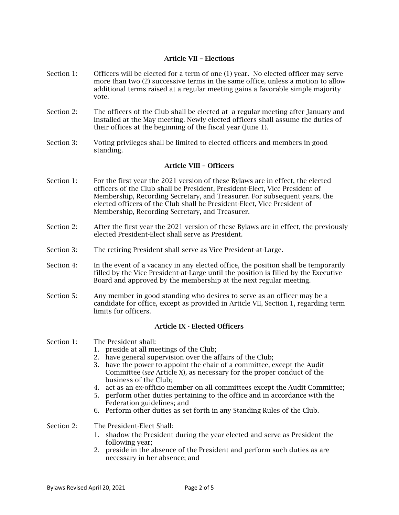## Article VII – Elections

- Section 1: Officers will be elected for a term of one (1) year. No elected officer may serve more than two (2) successive terms in the same office, unless a motion to allow additional terms raised at a regular meeting gains a favorable simple majority vote.
- Section 2: The officers of the Club shall be elected at a regular meeting after January and installed at the May meeting. Newly elected officers shall assume the duties of their offices at the beginning of the fiscal year (June 1).
- Section 3: Voting privileges shall be limited to elected officers and members in good standing.

## Article VIII – Officers

- Section 1: For the first year the 2021 version of these Bylaws are in effect, the elected officers of the Club shall be President, President-Elect, Vice President of Membership, Recording Secretary, and Treasurer. For subsequent years, the elected officers of the Club shall be President-Elect, Vice President of Membership, Recording Secretary, and Treasurer.
- Section 2: After the first year the 2021 version of these Bylaws are in effect, the previously elected President-Elect shall serve as President.
- Section 3: The retiring President shall serve as Vice President-at-Large.
- Section 4: In the event of a vacancy in any elected office, the position shall be temporarily filled by the Vice President-at-Large until the position is filled by the Executive Board and approved by the membership at the next regular meeting.
- Section 5: Any member in good standing who desires to serve as an officer may be a candidate for office, except as provided in Article VII, Section 1, regarding term limits for officers.

#### Article IX - Elected Officers

- Section 1: The President shall:
	- 1. preside at all meetings of the Club;
	- 2. have general supervision over the affairs of the Club;
	- 3. have the power to appoint the chair of a committee, except the Audit Committee (*see* Article X)*,* as necessary for the proper conduct of the business of the Club;
	- 4. act as an ex-officio member on all committees except the Audit Committee;
	- 5. perform other duties pertaining to the office and in accordance with the Federation guidelines; and
	- 6. Perform other duties as set forth in any Standing Rules of the Club.
- Section 2: The President-Elect Shall:
	- 1. shadow the President during the year elected and serve as President the following year;
	- 2. preside in the absence of the President and perform such duties as are necessary in her absence; and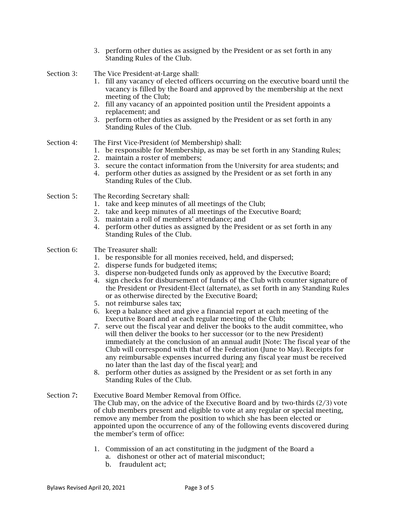3. perform other duties as assigned by the President or as set forth in any Standing Rules of the Club.

Section 3: The Vice President-at-Large shall:

- 1. fill any vacancy of elected officers occurring on the executive board until the vacancy is filled by the Board and approved by the membership at the next meeting of the Club;
- 2. fill any vacancy of an appointed position until the President appoints a replacement; and
- 3. perform other duties as assigned by the President or as set forth in any Standing Rules of the Club.

# Section 4: The First Vice-President (of Membership) shall:

- 1. be responsible for Membership, as may be set forth in any Standing Rules;
- 2. maintain a roster of members;
- 3. secure the contact information from the University for area students; and
- 4. perform other duties as assigned by the President or as set forth in any Standing Rules of the Club.
- Section 5: The Recording Secretary shall:
	- 1. take and keep minutes of all meetings of the Club;
	- 2. take and keep minutes of all meetings of the Executive Board;
	- 3. maintain a roll of members' attendance; and
	- 4. perform other duties as assigned by the President or as set forth in any Standing Rules of the Club.

## Section 6: The Treasurer shall:

- 1. be responsible for all monies received, held, and dispersed;
- 2. disperse funds for budgeted items;
- 3. disperse non-budgeted funds only as approved by the Executive Board;
- 4. sign checks for disbursement of funds of the Club with counter signature of the President or President-Elect (alternate), as set forth in any Standing Rules or as otherwise directed by the Executive Board;
- 5. not reimburse sales tax;
- 6. keep a balance sheet and give a financial report at each meeting of the Executive Board and at each regular meeting of the Club;
- 7. serve out the fiscal year and deliver the books to the audit committee, who will then deliver the books to her successor (or to the new President) immediately at the conclusion of an annual audit [Note: The fiscal year of the Club will correspond with that of the Federation (June to May). Receipts for any reimbursable expenses incurred during any fiscal year must be received no later than the last day of the fiscal year]; and
- 8. perform other duties as assigned by the President or as set forth in any Standing Rules of the Club.
- Section 7: Executive Board Member Removal from Office. The Club may, on the advice of the Executive Board and by two-thirds (2/3) vote of club members present and eligible to vote at any regular or special meeting, remove any member from the position to which she has been elected or appointed upon the occurrence of any of the following events discovered during the member's term of office:
	- 1. Commission of an act constituting in the judgment of the Board a
		- a. dishonest or other act of material misconduct;
		- b. fraudulent act;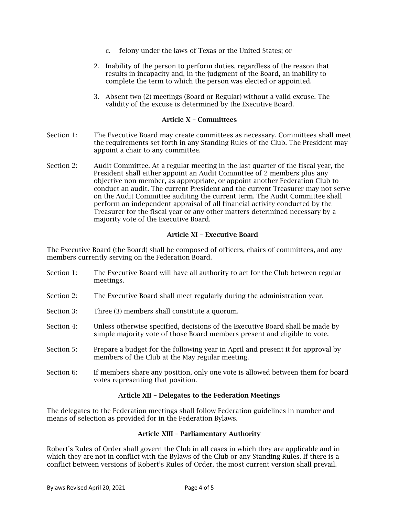- c. felony under the laws of Texas or the United States; or
- 2. Inability of the person to perform duties, regardless of the reason that results in incapacity and, in the judgment of the Board, an inability to complete the term to which the person was elected or appointed.
- 3. Absent two (2) meetings (Board or Regular) without a valid excuse. The validity of the excuse is determined by the Executive Board.

## Article X – Committees

- Section 1: The Executive Board may create committees as necessary. Committees shall meet the requirements set forth in any Standing Rules of the Club. The President may appoint a chair to any committee.
- Section 2: Audit Committee. At a regular meeting in the last quarter of the fiscal year, the President shall either appoint an Audit Committee of 2 members plus any objective non-member, as appropriate, or appoint another Federation Club to conduct an audit. The current President and the current Treasurer may not serve on the Audit Committee auditing the current term. The Audit Committee shall perform an independent appraisal of all financial activity conducted by the Treasurer for the fiscal year or any other matters determined necessary by a majority vote of the Executive Board.

## Article XI – Executive Board

The Executive Board (the Board) shall be composed of officers, chairs of committees, and any members currently serving on the Federation Board.

- Section 1: The Executive Board will have all authority to act for the Club between regular meetings.
- Section 2: The Executive Board shall meet regularly during the administration year.
- Section 3: Three (3) members shall constitute a quorum.
- Section 4: Unless otherwise specified, decisions of the Executive Board shall be made by simple majority vote of those Board members present and eligible to vote.
- Section 5: Prepare a budget for the following year in April and present it for approval by members of the Club at the May regular meeting.
- Section 6: If members share any position, only one vote is allowed between them for board votes representing that position.

## Article XII – Delegates to the Federation Meetings

The delegates to the Federation meetings shall follow Federation guidelines in number and means of selection as provided for in the Federation Bylaws.

## Article XIII – Parliamentary Authority

Robert's Rules of Order shall govern the Club in all cases in which they are applicable and in which they are not in conflict with the Bylaws of the Club or any Standing Rules. If there is a conflict between versions of Robert's Rules of Order, the most current version shall prevail.